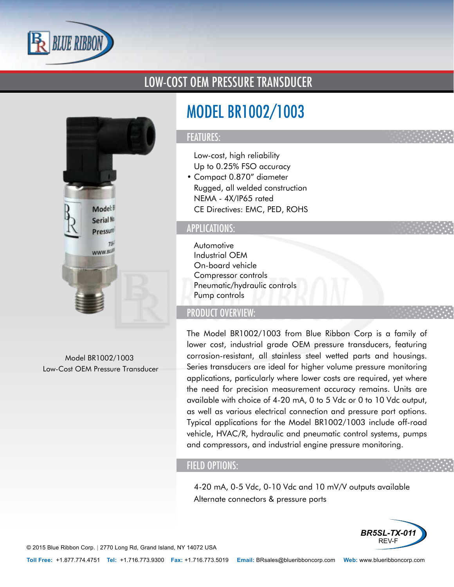

### LOW-COST OEM PRESSURE TRANSDUCER



Model BR1002/1003 Low-Cost OEM Pressure Transducer

# MODEL BR1002/1003

#### FEATURES:

- Low-cost, high reliability
- Up to 0.25% FSO accuracy
- Compact 0.870" diameter
- Rugged, all welded construction
- NEMA 4X/IP65 rated
- CE Directives: EMC, PED, ROHS

#### APPLICATIONS:

- Automotive
- Industrial OEM
- On-board vehicle
- Compressor controls
- Pneumatic/hydraulic controls
- Pump controls

#### PRODUCT OVERVIEW:

The Model BR1002/1003 from Blue Ribbon Corp is a family of lower cost, industrial grade OEM pressure transducers, featuring corrosion-resistant, all stainless steel wetted parts and housings. Series transducers are ideal for higher volume pressure monitoring applications, particularly where lower costs are required, yet where the need for precision measurement accuracy remains. Units are available with choice of 4-20 mA, 0 to 5 Vdc or 0 to 10 Vdc output, as well as various electrical connection and pressure port options. Typical applications for the Model BR1002/1003 include off-road vehicle, HVAC/R, hydraulic and pneumatic control systems, pumps and compressors, and industrial engine pressure monitoring.

#### FIELD OPTIONS:

- 4-20 mA, 0-5 Vdc, 0-10 Vdc and 10 mV/V outputs available
- Alternate connectors & pressure ports



© 2015 Blue Ribbon Corp. *<sup>|</sup>* 2770 Long Rd, Grand Island, NY 14072 USA